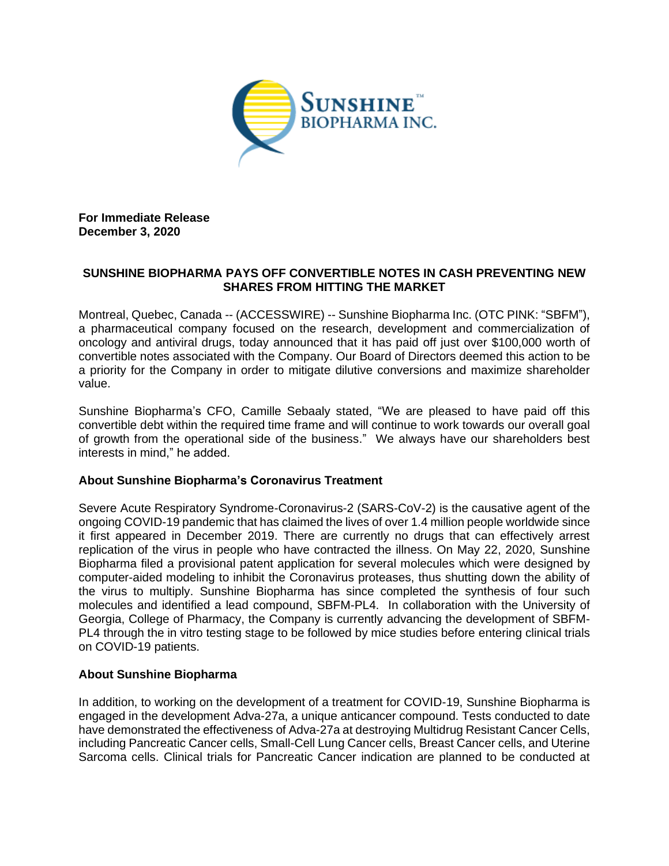

**For Immediate Release December 3, 2020**

## **SUNSHINE BIOPHARMA PAYS OFF CONVERTIBLE NOTES IN CASH PREVENTING NEW SHARES FROM HITTING THE MARKET**

Montreal, Quebec, Canada -- (ACCESSWIRE) -- Sunshine Biopharma Inc. (OTC PINK: "SBFM"), a pharmaceutical company focused on the research, development and commercialization of oncology and antiviral drugs, today announced that it has paid off just over \$100,000 worth of convertible notes associated with the Company. Our Board of Directors deemed this action to be a priority for the Company in order to mitigate dilutive conversions and maximize shareholder value.

Sunshine Biopharma's CFO, Camille Sebaaly stated, "We are pleased to have paid off this convertible debt within the required time frame and will continue to work towards our overall goal of growth from the operational side of the business." We always have our shareholders best interests in mind," he added.

## **About Sunshine Biopharma's Coronavirus Treatment**

Severe Acute Respiratory Syndrome-Coronavirus-2 (SARS-CoV-2) is the causative agent of the ongoing COVID-19 pandemic that has claimed the lives of over 1.4 million people worldwide since it first appeared in December 2019. There are currently no drugs that can effectively arrest replication of the virus in people who have contracted the illness. On May 22, 2020, Sunshine Biopharma filed a provisional patent application for several molecules which were designed by computer-aided modeling to inhibit the Coronavirus proteases, thus shutting down the ability of the virus to multiply. Sunshine Biopharma has since completed the synthesis of four such molecules and identified a lead compound, SBFM-PL4. In collaboration with the University of Georgia, College of Pharmacy, the Company is currently advancing the development of SBFM-PL4 through the in vitro testing stage to be followed by mice studies before entering clinical trials on COVID-19 patients.

## **About Sunshine Biopharma**

In addition, to working on the development of a treatment for COVID-19, Sunshine Biopharma is engaged in the development Adva-27a, a unique anticancer compound. Tests conducted to date have demonstrated the effectiveness of Adva-27a at destroying Multidrug Resistant Cancer Cells, including Pancreatic Cancer cells, Small-Cell Lung Cancer cells, Breast Cancer cells, and Uterine Sarcoma cells. Clinical trials for Pancreatic Cancer indication are planned to be conducted at